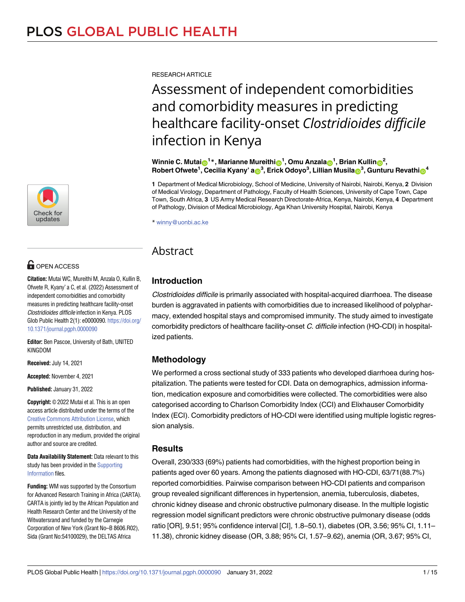RESEARCH ARTICLE

Assessment of independent comorbidities and comorbidity measures in predicting healthcare facility-onset *Clostridioides difficile* infection in Kenya

Winnie C. Mutai⋒<sup>1</sup>\*, Marianne Mureithi⋒<sup>1</sup>, Omu Anzala⋒<sup>1</sup>, Brian Kullin⋒<sup>2</sup>, Robert Ofwete<sup>1</sup>, Cecilia Kyany' an<sup>3</sup>, Erick Odoyo<sup>3</sup>, Lillian Musilan<sup>3</sup>, Gunturu Revathin<sup>4</sup>

**1** Department of Medical Microbiology, School of Medicine, University of Nairobi, Nairobi, Kenya, **2** Division of Medical Virology, Department of Pathology, Faculty of Health Sciences, University of Cape Town, Cape Town, South Africa, **3** US Army Medical Research Directorate-Africa, Kenya, Nairobi, Kenya, **4** Department of Pathology, Division of Medical Microbiology, Aga Khan University Hospital, Nairobi, Kenya

\* winny@uonbi.ac.ke

## Abstract

## **Introduction**

Clostridioides difficile is primarily associated with hospital-acquired diarrhoea. The disease burden is aggravated in patients with comorbidities due to increased likelihood of polypharmacy, extended hospital stays and compromised immunity. The study aimed to investigate comorbidity predictors of healthcare facility-onset C. difficile infection (HO-CDI) in hospitalized patients.

## **Methodology**

We performed a cross sectional study of 333 patients who developed diarrhoea during hospitalization. The patients were tested for CDI. Data on demographics, admission information, medication exposure and comorbidities were collected. The comorbidities were also categorised according to Charlson Comorbidity Index (CCI) and Elixhauser Comorbidity Index (ECI). Comorbidity predictors of HO-CDI were identified using multiple logistic regression analysis.

## **Results**

Overall, 230/333 (69%) patients had comorbidities, with the highest proportion being in patients aged over 60 years. Among the patients diagnosed with HO-CDI, 63/71(88.7%) reported comorbidities. Pairwise comparison between HO-CDI patients and comparison group revealed significant differences in hypertension, anemia, tuberculosis, diabetes, chronic kidney disease and chronic obstructive pulmonary disease. In the multiple logistic regression model significant predictors were chronic obstructive pulmonary disease (odds ratio [OR], 9.51; 95% confidence interval [CI], 1.8–50.1), diabetes (OR, 3.56; 95% CI, 1.11– 11.38), chronic kidney disease (OR, 3.88; 95% CI, 1.57–9.62), anemia (OR, 3.67; 95% CI,



# **OPEN ACCESS**

**Citation:** Mutai WC, Mureithi M, Anzala O, Kullin B, Ofwete R, Kyany' a C, et al. (2022) Assessment of independent comorbidities and comorbidity measures in predicting healthcare facility-onset Clostridioides difficile infection in Kenya. PLOS Glob Public Health 2(1): e0000090. [https://doi.org/](https://doi.org/10.1371/journal.pgph.0000090) [10.1371/journal.pgph.0000090](https://doi.org/10.1371/journal.pgph.0000090)

**Editor:** Ben Pascoe, University of Bath, UNITED KINGDOM

**Received:** July 14, 2021

**Accepted:** November 4, 2021

**Published:** January 31, 2022

**Copyright:** © 2022 Mutai et al. This is an open access article distributed under the terms of the Creative Commons [Attribution](http://creativecommons.org/licenses/by/4.0/) License, which permits unrestricted use, distribution, and reproduction in any medium, provided the original author and source are credited.

**Data Availability Statement:** Data relevant to this study has been provided in the [Supporting](#page-9-0) [Information](#page-9-0) files.

**Funding:** WM was supported by the Consortium for Advanced Research Training in Africa (CARTA). CARTA is jointly led by the African Population and Health Research Center and the University of the Witwatersrand and funded by the Carnegie Corporation of New York (Grant No–B 8606.R02), Sida (Grant No:54100029), the DELTAS Africa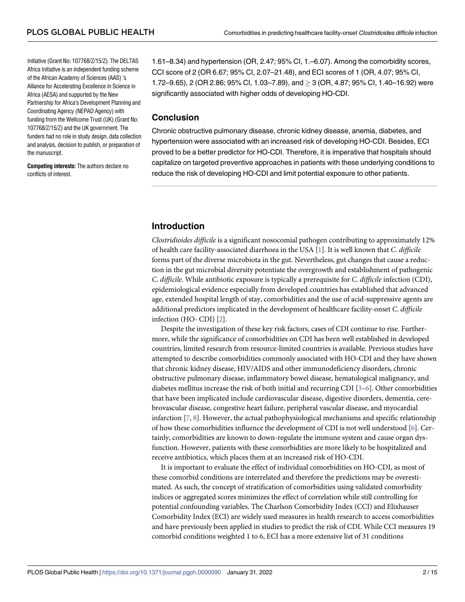<span id="page-1-0"></span>Initiative (Grant No: 107768/Z/15/Z). The DELTAS Africa Initiative is an independent funding scheme of the African Academy of Sciences (AAS) 's Alliance for Accelerating Excellence in Science in Africa (AESA) and supported by the New Partnership for Africa's Development Planning and Coordinating Agency (NEPAD Agency) with funding from the Wellcome Trust (UK) (Grant No: 107768/Z/15/Z) and the UK government. The funders had no role in study design, data collection and analysis, decision to publish, or preparation of the manuscript.

**Competing interests:** The authors declare no conflicts of interest.

1.61–8.34) and hypertension (OR, 2.47; 95% CI, 1.–6.07). Among the comorbidity scores, CCI score of 2 (OR 6.67; 95% CI, 2.07–21.48), and ECI scores of 1 (OR, 4.07; 95% CI, 1.72–9.65), 2 (OR 2.86; 95% CI, 1.03–7.89), and  $\geq$  3 (OR, 4.87; 95% CI, 1.40–16.92) were significantly associated with higher odds of developing HO-CDI.

## **Conclusion**

Chronic obstructive pulmonary disease, chronic kidney disease, anemia, diabetes, and hypertension were associated with an increased risk of developing HO-CDI. Besides, ECI proved to be a better predictor for HO-CDI. Therefore, it is imperative that hospitals should capitalize on targeted preventive approaches in patients with these underlying conditions to reduce the risk of developing HO-CDI and limit potential exposure to other patients.

#### **Introduction**

*Clostridioides difficile* is a significant nosocomial pathogen contributing to approximately 12% of health care facility-associated diarrhoea in the USA [[1\]](#page-10-0). It is well known that *C*. *difficile* forms part of the diverse microbiota in the gut. Nevertheless, gut changes that cause a reduction in the gut microbial diversity potentiate the overgrowth and establishment of pathogenic *C*. *difficile*. While antibiotic exposure is typically a prerequisite for *C*. *difficile* infection (CDI), epidemiological evidence especially from developed countries has established that advanced age, extended hospital length of stay, comorbidities and the use of acid-suppressive agents are additional predictors implicated in the development of healthcare facility-onset *C*. *difficile* infection (HO- CDI) [[2](#page-10-0)].

Despite the investigation of these key risk factors, cases of CDI continue to rise. Furthermore, while the significance of comorbidities on CDI has been well established in developed countries, limited research from resource-limited countries is available. Previous studies have attempted to describe comorbidities commonly associated with HO-CDI and they have shown that chronic kidney disease, HIV/AIDS and other immunodeficiency disorders, chronic obstructive pulmonary disease, inflammatory bowel disease, hematological malignancy, and diabetes mellitus increase the risk of both initial and recurring CDI [[3–6](#page-10-0)]. Other comorbidities that have been implicated include cardiovascular disease, digestive disorders, dementia, cerebrovascular disease, congestive heart failure, peripheral vascular disease, and myocardial infarction  $[7, 8]$  $[7, 8]$  $[7, 8]$  $[7, 8]$ . However, the actual pathophysiological mechanisms and specific relationship of how these comorbidities influence the development of CDI is not well understood [\[6](#page-10-0)]. Certainly, comorbidities are known to down-regulate the immune system and cause organ dysfunction. However, patients with these comorbidities are more likely to be hospitalized and receive antibiotics, which places them at an increased risk of HO-CDI.

It is important to evaluate the effect of individual comorbidities on HO-CDI, as most of these comorbid conditions are interrelated and therefore the predictions may be overestimated. As such, the concept of stratification of comorbidities using validated comorbidity indices or aggregated scores minimizes the effect of correlation while still controlling for potential confounding variables. The Charlson Comorbidity Index (CCI) and Elixhauser Comorbidity Index (ECI) are widely used measures in health research to access comorbidities and have previously been applied in studies to predict the risk of CDI. While CCI measures 19 comorbid conditions weighted 1 to 6, ECI has a more extensive list of 31 conditions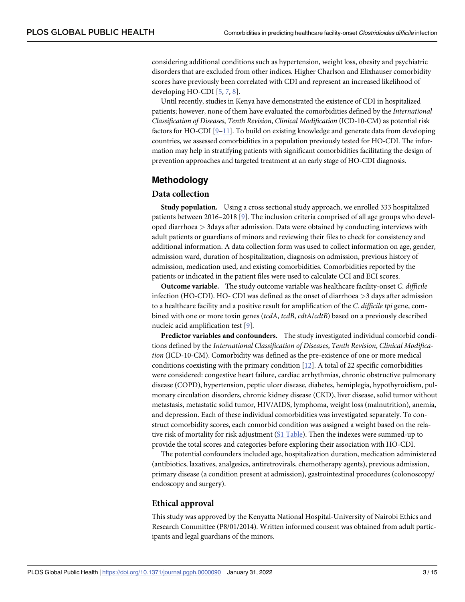<span id="page-2-0"></span>considering additional conditions such as hypertension, weight loss, obesity and psychiatric disorders that are excluded from other indices. Higher Charlson and Elixhauser comorbidity scores have previously been correlated with CDI and represent an increased likelihood of developing HO-CDI [[5](#page-10-0), [7,](#page-10-0) [8\]](#page-10-0).

Until recently, studies in Kenya have demonstrated the existence of CDI in hospitalized patients; however, none of them have evaluated the comorbidities defined by the *International Classification of Diseases*, *Tenth Revision*, *Clinical Modification* (ICD-10-CM) as potential risk factors for HO-CDI [[9](#page-10-0)[–11\]](#page-11-0). To build on existing knowledge and generate data from developing countries, we assessed comorbidities in a population previously tested for HO-CDI. The information may help in stratifying patients with significant comorbidities facilitating the design of prevention approaches and targeted treatment at an early stage of HO-CDI diagnosis.

#### **Methodology**

#### **Data collection**

**Study population.** Using a cross sectional study approach, we enrolled 333 hospitalized patients between 2016–2018 [[9\]](#page-10-0). The inclusion criteria comprised of all age groups who developed diarrhoea *>* 3days after admission. Data were obtained by conducting interviews with adult patients or guardians of minors and reviewing their files to check for consistency and additional information. A data collection form was used to collect information on age, gender, admission ward, duration of hospitalization, diagnosis on admission, previous history of admission, medication used, and existing comorbidities. Comorbidities reported by the patients or indicated in the patient files were used to calculate CCI and ECI scores.

**Outcome variable.** The study outcome variable was healthcare facility-onset *C*. *difficile* infection (HO-CDI). HO- CDI was defined as the onset of diarrhoea *>*3 days after admission to a healthcare facility and a positive result for amplification of the *C*. *difficile tpi* gene, combined with one or more toxin genes (*tcdA*, *tcdB*, *cdtA*/*cdtB*) based on a previously described nucleic acid amplification test [\[9](#page-10-0)].

**Predictor variables and confounders.** The study investigated individual comorbid conditions defined by the *International Classification of Diseases*, *Tenth Revision*, *Clinical Modification* (ICD-10-CM). Comorbidity was defined as the pre-existence of one or more medical conditions coexisting with the primary condition [\[12\]](#page-11-0). A total of 22 specific comorbidities were considered: congestive heart failure, cardiac arrhythmias, chronic obstructive pulmonary disease (COPD), hypertension, peptic ulcer disease, diabetes, hemiplegia, hypothyroidism, pulmonary circulation disorders, chronic kidney disease (CKD), liver disease, solid tumor without metastasis, metastatic solid tumor, HIV/AIDS, lymphoma, weight loss (malnutrition), anemia, and depression. Each of these individual comorbidities was investigated separately. To construct comorbidity scores, each comorbid condition was assigned a weight based on the relative risk of mortality for risk adjustment (S1 [Table\)](#page-9-0). Then the indexes were summed-up to provide the total scores and categories before exploring their association with HO-CDI.

The potential confounders included age, hospitalization duration, medication administered (antibiotics, laxatives, analgesics, antiretrovirals, chemotherapy agents), previous admission, primary disease (a condition present at admission), gastrointestinal procedures (colonoscopy/ endoscopy and surgery).

#### **Ethical approval**

This study was approved by the Kenyatta National Hospital-University of Nairobi Ethics and Research Committee (P8/01/2014). Written informed consent was obtained from adult participants and legal guardians of the minors.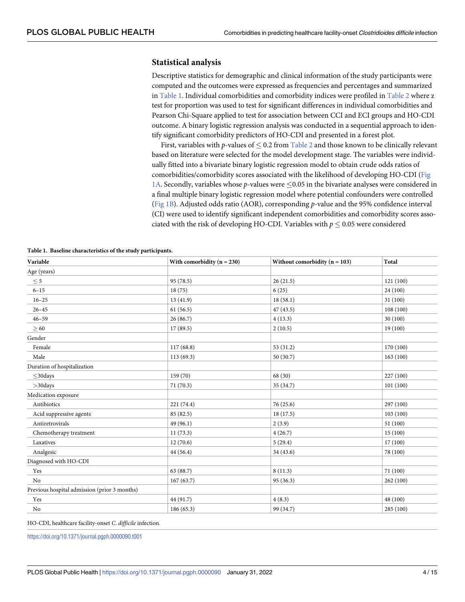#### <span id="page-3-0"></span>**Statistical analysis**

Descriptive statistics for demographic and clinical information of the study participants were computed and the outcomes were expressed as frequencies and percentages and summarized in Table 1. Individual comorbidities and comorbidity indices were profiled in [Table](#page-4-0) 2 where z test for proportion was used to test for significant differences in individual comorbidities and Pearson Chi-Square applied to test for association between CCI and ECI groups and HO-CDI outcome. A binary logistic regression analysis was conducted in a sequential approach to identify significant comorbidity predictors of HO-CDI and presented in a forest plot.

First, variables with *p*-values of  $\leq 0.2$  from [Table](#page-4-0) 2 and those known to be clinically relevant based on literature were selected for the model development stage. The variables were individually fitted into a bivariate binary logistic regression model to obtain crude odds ratios of comorbidities/comorbidity scores associated with the likelihood of developing HO-CDI ([Fig](#page-6-0) [1A.](#page-6-0) Secondly, variables whose  $p$ -values were  $\leq$ 0.05 in the bivariate analyses were considered in a final multiple binary logistic regression model where potential confounders were controlled [\(Fig](#page-6-0) 1B). Adjusted odds ratio (AOR), corresponding *p*-value and the 95% confidence interval (CI) were used to identify significant independent comorbidities and comorbidity scores associated with the risk of developing HO-CDI. Variables with  $p \leq 0.05$  were considered

| Variable                                     | With comorbidity $(n = 230)$ | Without comorbidity ( $n = 103$ ) | Total     |
|----------------------------------------------|------------------------------|-----------------------------------|-----------|
| Age (years)                                  |                              |                                   |           |
| $\leq 5$                                     | 95 (78.5)                    | 26(21.5)                          | 121(100)  |
| $6 - 15$                                     | 18(75)                       | 6(25)                             | 24 (100)  |
| $16 - 25$                                    | 13(41.9)                     | 18(58.1)                          | 31(100)   |
| $26 - 45$                                    | 61(56.5)                     | 47(43.5)                          | 108(100)  |
| $46 - 59$                                    | 26(86.7)                     | 4(13.3)                           | 30 (100)  |
| >60                                          | 17(89.5)                     | 2(10.5)                           | 19(100)   |
| Gender                                       |                              |                                   |           |
| Female                                       | 117(68.8)                    | 53 (31.2)                         | 170 (100) |
| Male                                         | 113(69.3)                    | 50(30.7)                          | 163(100)  |
| Duration of hospitalization                  |                              |                                   |           |
| $\leq$ 30days                                | 159(70)                      | 68 (30)                           | 227 (100) |
| $>$ 30days                                   | 71 (70.3)                    | 35 (34.7)                         | 101(100)  |
| Medication exposure                          |                              |                                   |           |
| Antibiotics                                  | 221 (74.4)                   | 76(25.6)                          | 297 (100) |
| Acid suppressive agents                      | 85 (82.5)                    | 18(17.5)                          | 103 (100) |
| Antiretrovirals                              | 49 (96.1)                    | 2(3.9)                            | 51(100)   |
| Chemotherapy treatment                       | 11(73.3)                     | 4(26.7)                           | 15(100)   |
| Laxatives                                    | 12(70.6)                     | 5(29.4)                           | 17(100)   |
| Analgesic                                    | 44 (56.4)                    | 34 (43.6)                         | 78 (100)  |
| Diagnosed with HO-CDI                        |                              |                                   |           |
| Yes                                          | 63 (88.7)                    | 8(11.3)                           | 71 (100)  |
| N <sub>o</sub>                               | 167(63.7)                    | 95 (36.3)                         | 262 (100) |
| Previous hospital admission (prior 3 months) |                              |                                   |           |
| Yes                                          | 44 (91.7)                    | 4(8.3)                            | 48 (100)  |
| No                                           | 186 (65.3)                   | 99 (34.7)                         | 285 (100) |

**Table 1. Baseline characteristics of the study participants.**

HO-CDI, healthcare facility-onset *C*. *difficile* infection.

<https://doi.org/10.1371/journal.pgph.0000090.t001>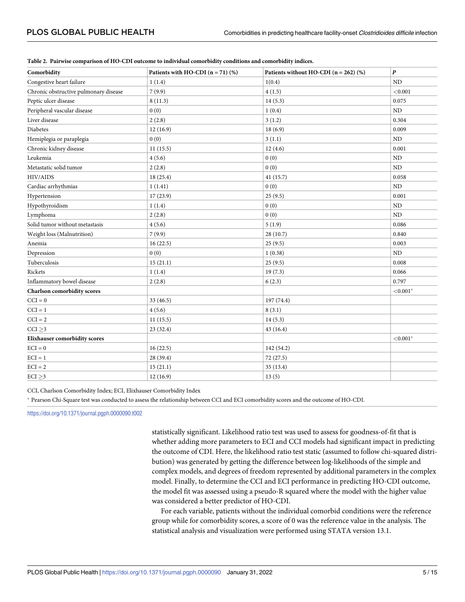| Comorbidity                           | Patients with HO-CDI $(n = 71)$ (%) | Patients without HO-CDI $(n = 262)$ (%) | P           |
|---------------------------------------|-------------------------------------|-----------------------------------------|-------------|
| Congestive heart failure              | 1(1.4)                              | 1(0.4)                                  | <b>ND</b>   |
| Chronic obstructive pulmonary disease | 7(9.9)                              | 4(1.5)                                  | < 0.001     |
| Peptic ulcer disease                  | 8(11.3)                             | 14(5.3)                                 | 0.075       |
| Peripheral vascular disease           | 0(0)                                | 1(0.4)                                  | ND          |
| Liver disease                         | 2(2.8)                              | 3(1.2)                                  | 0.304       |
| <b>Diabetes</b>                       | 12(16.9)                            | 18(6.9)                                 | 0.009       |
| Hemiplegia or paraplegia              | 0(0)                                | 3(1.1)                                  | ND          |
| Chronic kidney disease                | 11(15.5)                            | 12(4.6)                                 | 0.001       |
| Leukemia                              | 4(5.6)                              | 0(0)                                    | ND          |
| Metastatic solid tumor                | 2(2.8)                              | 0(0)                                    | <b>ND</b>   |
| HIV/AIDS                              | 18 (25.4)                           | 41(15.7)                                | 0.058       |
| Cardiac arrhythmias                   | 1(1.41)                             | 0(0)                                    | ND          |
| Hypertension                          | 17(23.9)                            | 25(9.5)                                 | 0.001       |
| Hypothyroidism                        | 1(1.4)                              | 0(0)                                    | ND          |
| Lymphoma                              | 2(2.8)                              | 0(0)                                    | ND          |
| Solid tumor without metastasis        | 4(5.6)                              | 5(1.9)                                  | 0.086       |
| Weight loss (Malnutrition)            | 7(9.9)                              | 28 (10.7)                               | 0.840       |
| Anemia                                | 16(22.5)                            | 25(9.5)                                 | 0.003       |
| Depression                            | 0(0)                                | 1(0.38)                                 | ND          |
| Tuberculosis                          | 15(21.1)                            | 25(9.5)                                 | 0.008       |
| Rickets                               | 1(1.4)                              | 19(7.3)                                 | 0.066       |
| Inflammatory bowel disease            | 2(2.8)                              | 6(2.3)                                  | 0.797       |
| Charlson comorbidity scores           |                                     |                                         | ${<}0.001*$ |
| $CCI = 0$                             | 33 (46.5)                           | 197 (74.4)                              |             |
| $CCI = 1$                             | 4(5.6)                              | 8(3.1)                                  |             |
| $CCI = 2$                             | 11(15.5)                            | 14(5.3)                                 |             |
| $CCI \geq 3$                          | 23 (32.4)                           | 43(16.4)                                |             |
| Elixhauser comorbidity scores         |                                     |                                         | ${<}0.001*$ |
| $ECI = 0$                             | 16(22.5)                            | 142 (54.2)                              |             |
| $ECI = 1$                             | 28 (39.4)                           | 72 (27.5)                               |             |
| $ECI = 2$                             | 15(21.1)                            | 35 (13.4)                               |             |
| ECI > 3                               | 12(16.9)                            | 13(5)                                   |             |

<span id="page-4-0"></span>**[Table](#page-5-0) 2. Pairwise comparison of HO-CDI outcome to individual comorbidity conditions and comorbidity indices.**

CCI, Charlson Comorbidity Index; ECI, Elixhauser Comorbidity Index

� Pearson Chi-Square test was conducted to assess the relationship between CCI and ECI comorbidity scores and the outcome of HO-CDI.

<https://doi.org/10.1371/journal.pgph.0000090.t002>

statistically significant. Likelihood ratio test was used to assess for goodness-of-fit that is whether adding more parameters to ECI and CCI models had significant impact in predicting the outcome of CDI. Here, the likelihood ratio test static (assumed to follow chi-squared distribution) was generated by getting the difference between log-likelihoods of the simple and complex models, and degrees of freedom represented by additional parameters in the complex model. Finally, to determine the CCI and ECI performance in predicting HO-CDI outcome, the model fit was assessed using a pseudo-R squared where the model with the higher value was considered a better predictor of HO-CDI.

For each variable, patients without the individual comorbid conditions were the reference group while for comorbidity scores, a score of 0 was the reference value in the analysis. The statistical analysis and visualization were performed using STATA version 13.1.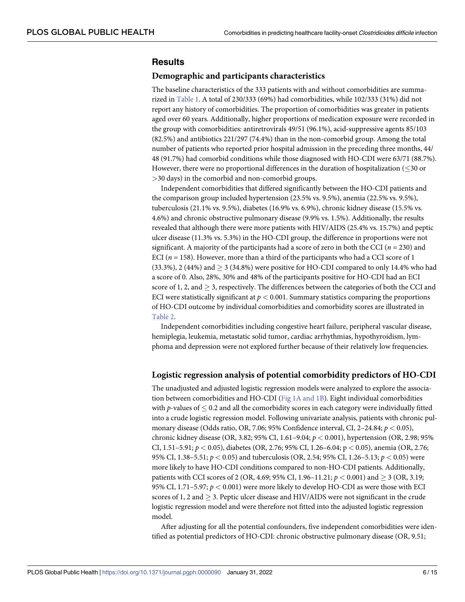## <span id="page-5-0"></span>**Results**

#### **Demographic and participants characteristics**

The baseline characteristics of the 333 patients with and without comorbidities are summarized in [Table](#page-3-0) 1. A total of 230/333 (69%) had comorbidities, while 102/333 (31%) did not report any history of comorbidities. The proportion of comorbidities was greater in patients aged over 60 years. Additionally, higher proportions of medication exposure were recorded in the group with comorbidities: antiretrovirals 49/51 (96.1%), acid-suppressive agents 85/103 (82.5%) and antibiotics 221/297 (74.4%) than in the non-comorbid group. Among the total number of patients who reported prior hospital admission in the preceding three months, 44/ 48 (91.7%) had comorbid conditions while those diagnosed with HO-CDI were 63/71 (88.7%). However, there were no proportional differences in the duration of hospitalization  $(<$ 30 or *>*30 days) in the comorbid and non-comorbid groups.

Independent comorbidities that differed significantly between the HO-CDI patients and the comparison group included hypertension (23.5% vs. 9.5%), anemia (22.5% vs. 9.5%), tuberculosis (21.1% vs. 9.5%), diabetes (16.9% vs. 6.9%), chronic kidney disease (15.5% vs. 4.6%) and chronic obstructive pulmonary disease (9.9% vs. 1.5%). Additionally, the results revealed that although there were more patients with HIV/AIDS (25.4% vs. 15.7%) and peptic ulcer disease (11.3% vs. 5.3%) in the HO-CDI group, the difference in proportions were not significant. A majority of the participants had a score of zero in both the CCI (*n* = 230) and ECI ( $n = 158$ ). However, more than a third of the participants who had a CCI score of 1  $(33.3\%)$ ,  $2(44\%)$  and  $\geq 3(34.8\%)$  were positive for HO-CDI compared to only 14.4% who had a score of 0. Also, 28%, 30% and 48% of the participants positive for HO-CDI had an ECI score of 1, 2, and  $> 3$ , respectively. The differences between the categories of both the CCI and ECI were statistically significant at  $p < 0.001$ . Summary statistics comparing the proportions of HO-CDI outcome by individual comorbidities and comorbidity scores are illustrated in [Table](#page-4-0) 2.

Independent comorbidities including congestive heart failure, peripheral vascular disease, hemiplegia, leukemia, metastatic solid tumor, cardiac arrhythmias, hypothyroidism, lymphoma and depression were not explored further because of their relatively low frequencies.

#### **Logistic regression analysis of potential comorbidity predictors of HO-CDI**

The unadjusted and adjusted logistic regression models were analyzed to explore the association between comorbidities and HO-CDI (Fig 1A [and](#page-6-0) 1B). Eight individual comorbidities with  $p$ -values of  $\leq 0.2$  and all the comorbidity scores in each category were individually fitted into a crude logistic regression model. Following univariate analysis, patients with chronic pulmonary disease (Odds ratio, OR, 7.06; 95% Confidence interval, CI, 2–24.84; *p <* 0.05), chronic kidney disease (OR, 3.82; 95% CI, 1.61–9.04; *p <* 0.001), hypertension (OR, 2.98; 95% CI, 1.51–5.91; *p <* 0.05), diabetes (OR, 2.76; 95% CI, 1.26–6.04; p *<* 0.05), anemia (OR, 2.76; 95% CI, 1.38–5.51; *p <* 0.05) and tuberculosis (OR, 2.54; 95% CI, 1.26–5.13; *p <* 0.05) were more likely to have HO-CDI conditions compared to non-HO-CDI patients. Additionally, patients with CCI scores of 2 (OR, 4.69; 95% CI, 1.96–11.21;  $p < 0.001$ ) and  $\geq 3$  (OR, 3.19; 95% CI, 1.71–5.97; *p <* 0.001) were more likely to develop HO-CDI as were those with ECI scores of 1, 2 and  $\geq$  3. Peptic ulcer disease and HIV/AIDS were not significant in the crude logistic regression model and were therefore not fitted into the adjusted logistic regression model.

After adjusting for all the potential confounders, five independent comorbidities were identified as potential predictors of HO-CDI: chronic obstructive pulmonary disease (OR, 9.51;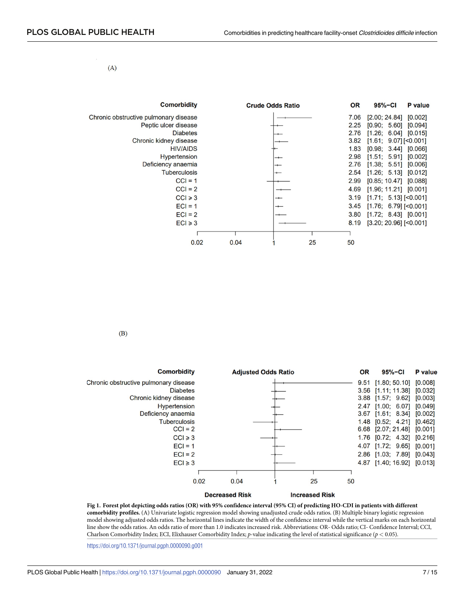$(A)$ 

<span id="page-6-0"></span>

 $(B)$ 



[Fig](#page-5-0) 1. Forest plot depicting odds ratios (OR) with 95% confidence interval (95% CI) of predicting HO-CDI in patients with different **comorbidity profiles.** (A) Univariate logistic regression model showing unadjusted crude odds ratios. (B) Multiple binary logistic regression model showing adjusted odds ratios. The horizontal lines indicate the width of the confidence interval while the vertical marks on each horizontal line show the odds ratios. An odds ratio of more than 1.0 indicates increased risk. Abbreviations: OR- Odds ratio; CI- Confidence Interval; CCI, Charlson Comorbidity Index; ECI, Elixhauser Comorbidity Index; *p*-value indicating the level of statistical significance (*p <* 0.05).

<https://doi.org/10.1371/journal.pgph.0000090.g001>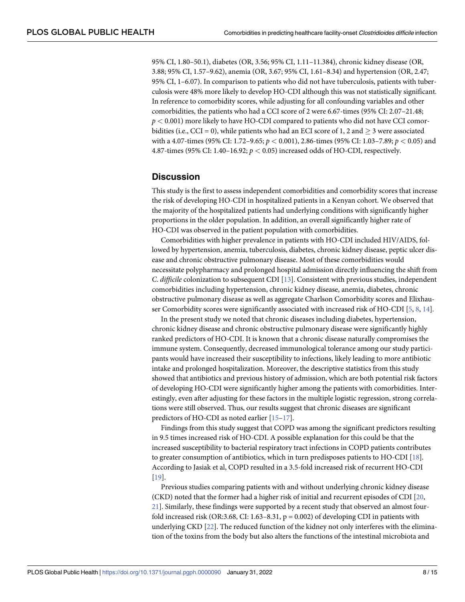<span id="page-7-0"></span>95% CI, 1.80–50.1), diabetes (OR, 3.56; 95% CI, 1.11–11.384), chronic kidney disease (OR, 3.88; 95% CI, 1.57–9.62), anemia (OR, 3.67; 95% CI, 1.61–8.34) and hypertension (OR, 2.47; 95% CI, 1–6.07). In comparison to patients who did not have tuberculosis, patients with tuberculosis were 48% more likely to develop HO-CDI although this was not statistically significant. In reference to comorbidity scores, while adjusting for all confounding variables and other comorbidities, the patients who had a CCI score of 2 were 6.67-times (95% CI: 2.07–21.48; *p <* 0.001) more likely to have HO-CDI compared to patients who did not have CCI comorbidities (i.e., CCI = 0), while patients who had an ECI score of 1, 2 and  $>$  3 were associated with a 4.07-times (95% CI: 1.72–9.65; *p <* 0.001), 2.86-times (95% CI: 1.03–7.89; *p <* 0.05) and 4.87-times (95% CI: 1.40–16.92; *p <* 0.05) increased odds of HO-CDI, respectively.

## **Discussion**

This study is the first to assess independent comorbidities and comorbidity scores that increase the risk of developing HO-CDI in hospitalized patients in a Kenyan cohort. We observed that the majority of the hospitalized patients had underlying conditions with significantly higher proportions in the older population. In addition, an overall significantly higher rate of HO-CDI was observed in the patient population with comorbidities.

Comorbidities with higher prevalence in patients with HO-CDI included HIV/AIDS, followed by hypertension, anemia, tuberculosis, diabetes, chronic kidney disease, peptic ulcer disease and chronic obstructive pulmonary disease. Most of these comorbidities would necessitate polypharmacy and prolonged hospital admission directly influencing the shift from *C*. *difficile* colonization to subsequent CDI [[13](#page-11-0)]. Consistent with previous studies, independent comorbidities including hypertension, chronic kidney disease, anemia, diabetes, chronic obstructive pulmonary disease as well as aggregate Charlson Comorbidity scores and Elixhauser Comorbidity scores were significantly associated with increased risk of HO-CDI [\[5,](#page-10-0) [8](#page-10-0), [14](#page-11-0)].

In the present study we noted that chronic diseases including diabetes, hypertension, chronic kidney disease and chronic obstructive pulmonary disease were significantly highly ranked predictors of HO-CDI. It is known that a chronic disease naturally compromises the immune system. Consequently, decreased immunological tolerance among our study participants would have increased their susceptibility to infections, likely leading to more antibiotic intake and prolonged hospitalization. Moreover, the descriptive statistics from this study showed that antibiotics and previous history of admission, which are both potential risk factors of developing HO-CDI were significantly higher among the patients with comorbidities. Interestingly, even after adjusting for these factors in the multiple logistic regression, strong correlations were still observed. Thus, our results suggest that chronic diseases are significant predictors of HO-CDI as noted earlier [[15–17\]](#page-11-0).

Findings from this study suggest that COPD was among the significant predictors resulting in 9.5 times increased risk of HO-CDI. A possible explanation for this could be that the increased susceptibility to bacterial respiratory tract infections in COPD patients contributes to greater consumption of antibiotics, which in turn predisposes patients to HO-CDI [[18](#page-11-0)]. According to Jasiak et al, COPD resulted in a 3.5-fold increased risk of recurrent HO-CDI [\[19\]](#page-11-0).

Previous studies comparing patients with and without underlying chronic kidney disease (CKD) noted that the former had a higher risk of initial and recurrent episodes of CDI [\[20,](#page-11-0) [21\]](#page-11-0). Similarly, these findings were supported by a recent study that observed an almost fourfold increased risk (OR:3.68, CI: 1.63–8.31,  $p = 0.002$ ) of developing CDI in patients with underlying CKD [\[22\]](#page-11-0). The reduced function of the kidney not only interferes with the elimination of the toxins from the body but also alters the functions of the intestinal microbiota and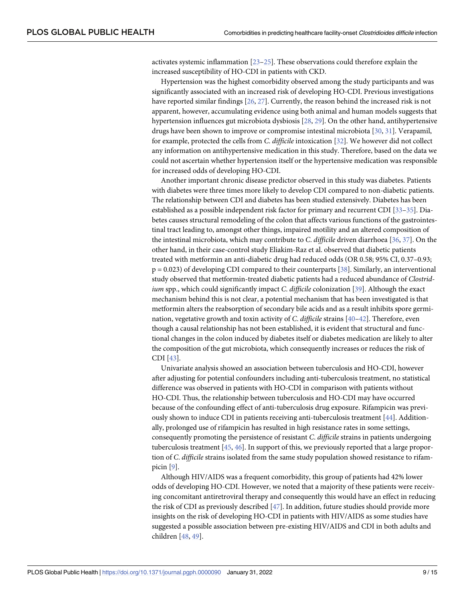<span id="page-8-0"></span>activates systemic inflammation [[23](#page-11-0)[–25\]](#page-12-0). These observations could therefore explain the increased susceptibility of HO-CDI in patients with CKD.

Hypertension was the highest comorbidity observed among the study participants and was significantly associated with an increased risk of developing HO-CDI. Previous investigations have reported similar findings [\[26,](#page-12-0) [27\]](#page-12-0). Currently, the reason behind the increased risk is not apparent, however, accumulating evidence using both animal and human models suggests that hypertension influences gut microbiota dysbiosis [\[28,](#page-12-0) [29\]](#page-12-0). On the other hand, antihypertensive drugs have been shown to improve or compromise intestinal microbiota [\[30,](#page-12-0) [31\]](#page-12-0). Verapamil, for example, protected the cells from *C*. *difficile* intoxication [\[32\]](#page-12-0). We however did not collect any information on antihypertensive medication in this study. Therefore, based on the data we could not ascertain whether hypertension itself or the hypertensive medication was responsible for increased odds of developing HO-CDI.

Another important chronic disease predictor observed in this study was diabetes. Patients with diabetes were three times more likely to develop CDI compared to non-diabetic patients. The relationship between CDI and diabetes has been studied extensively. Diabetes has been established as a possible independent risk factor for primary and recurrent CDI [[33–35\]](#page-12-0). Diabetes causes structural remodeling of the colon that affects various functions of the gastrointestinal tract leading to, amongst other things, impaired motility and an altered composition of the intestinal microbiota, which may contribute to *C*. *difficile* driven diarrhoea [\[36,](#page-12-0) [37\]](#page-12-0). On the other hand, in their case-control study Eliakim-Raz et al. observed that diabetic patients treated with metformin an anti-diabetic drug had reduced odds (OR 0.58; 95% CI, 0.37–0.93;  $p = 0.023$ ) of developing CDI compared to their counterparts [\[38\]](#page-12-0). Similarly, an interventional study observed that metformin-treated diabetic patients had a reduced abundance of *Clostridium* spp., which could significantly impact *C*. *difficile* colonization [\[39\]](#page-12-0). Although the exact mechanism behind this is not clear, a potential mechanism that has been investigated is that metformin alters the reabsorption of secondary bile acids and as a result inhibits spore germination, vegetative growth and toxin activity of *C*. *difficile* strains [\[40–](#page-12-0)[42](#page-13-0)]. Therefore, even though a causal relationship has not been established, it is evident that structural and functional changes in the colon induced by diabetes itself or diabetes medication are likely to alter the composition of the gut microbiota, which consequently increases or reduces the risk of CDI [[43](#page-13-0)].

Univariate analysis showed an association between tuberculosis and HO-CDI, however after adjusting for potential confounders including anti-tuberculosis treatment, no statistical difference was observed in patients with HO-CDI in comparison with patients without HO-CDI. Thus, the relationship between tuberculosis and HO-CDI may have occurred because of the confounding effect of anti-tuberculosis drug exposure. Rifampicin was previously shown to induce CDI in patients receiving anti-tuberculosis treatment [[44](#page-13-0)]. Additionally, prolonged use of rifampicin has resulted in high resistance rates in some settings, consequently promoting the persistence of resistant *C*. *difficile* strains in patients undergoing tuberculosis treatment [\[45,](#page-13-0) [46\]](#page-13-0). In support of this, we previously reported that a large proportion of *C*. *difficile* strains isolated from the same study population showed resistance to rifampicin [[9\]](#page-10-0).

Although HIV/AIDS was a frequent comorbidity, this group of patients had 42% lower odds of developing HO-CDI. However, we noted that a majority of these patients were receiving concomitant antiretroviral therapy and consequently this would have an effect in reducing the risk of CDI as previously described [\[47\]](#page-13-0). In addition, future studies should provide more insights on the risk of developing HO-CDI in patients with HIV/AIDS as some studies have suggested a possible association between pre-existing HIV/AIDS and CDI in both adults and children [[48](#page-13-0), [49](#page-13-0)].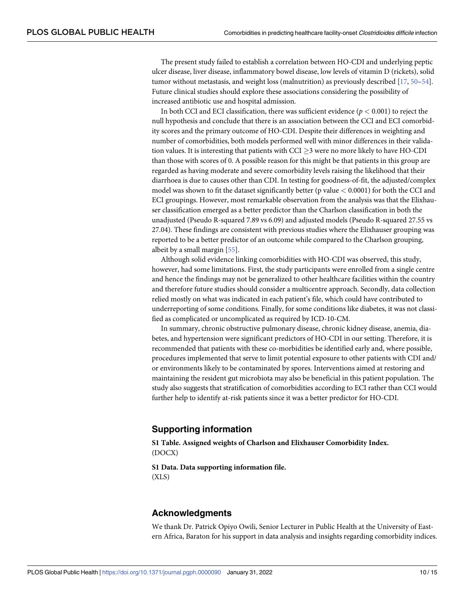<span id="page-9-0"></span>The present study failed to establish a correlation between HO-CDI and underlying peptic ulcer disease, liver disease, inflammatory bowel disease, low levels of vitamin D (rickets), solid tumor without metastasis, and weight loss (malnutrition) as previously described [[17](#page-11-0), [50–54\]](#page-13-0). Future clinical studies should explore these associations considering the possibility of increased antibiotic use and hospital admission.

In both CCI and ECI classification, there was sufficient evidence (*p <* 0.001) to reject the null hypothesis and conclude that there is an association between the CCI and ECI comorbidity scores and the primary outcome of HO-CDI. Despite their differences in weighting and number of comorbidities, both models performed well with minor differences in their validation values. It is interesting that patients with CCI  $\geq$ 3 were no more likely to have HO-CDI than those with scores of 0. A possible reason for this might be that patients in this group are regarded as having moderate and severe comorbidity levels raising the likelihood that their diarrhoea is due to causes other than CDI. In testing for goodness-of-fit, the adjusted/complex model was shown to fit the dataset significantly better (p value *<* 0.0001) for both the CCI and ECI groupings. However, most remarkable observation from the analysis was that the Elixhauser classification emerged as a better predictor than the Charlson classification in both the unadjusted (Pseudo R-squared 7.89 vs 6.09) and adjusted models (Pseudo R-squared 27.55 vs 27.04). These findings are consistent with previous studies where the Elixhauser grouping was reported to be a better predictor of an outcome while compared to the Charlson grouping, albeit by a small margin [\[55\]](#page-13-0).

Although solid evidence linking comorbidities with HO-CDI was observed, this study, however, had some limitations. First, the study participants were enrolled from a single centre and hence the findings may not be generalized to other healthcare facilities within the country and therefore future studies should consider a multicentre approach. Secondly, data collection relied mostly on what was indicated in each patient's file, which could have contributed to underreporting of some conditions. Finally, for some conditions like diabetes, it was not classified as complicated or uncomplicated as required by ICD-10-CM.

In summary, chronic obstructive pulmonary disease, chronic kidney disease, anemia, diabetes, and hypertension were significant predictors of HO-CDI in our setting. Therefore, it is recommended that patients with these co-morbidities be identified early and, where possible, procedures implemented that serve to limit potential exposure to other patients with CDI and/ or environments likely to be contaminated by spores. Interventions aimed at restoring and maintaining the resident gut microbiota may also be beneficial in this patient population. The study also suggests that stratification of comorbidities according to ECI rather than CCI would further help to identify at-risk patients since it was a better predictor for HO-CDI.

#### **Supporting information**

**S1 [Table.](http://journals.plos.org/globalpublichealth/article/asset?unique&id=info:doi/10.1371/journal.pgph.0000090.s001) Assigned weights of Charlson and Elixhauser Comorbidity Index.** (DOCX)

**S1 [Data](http://journals.plos.org/globalpublichealth/article/asset?unique&id=info:doi/10.1371/journal.pgph.0000090.s002). Data supporting information file.** (XLS)

#### **Acknowledgments**

We thank Dr. Patrick Opiyo Owili, Senior Lecturer in Public Health at the University of Eastern Africa, Baraton for his support in data analysis and insights regarding comorbidity indices.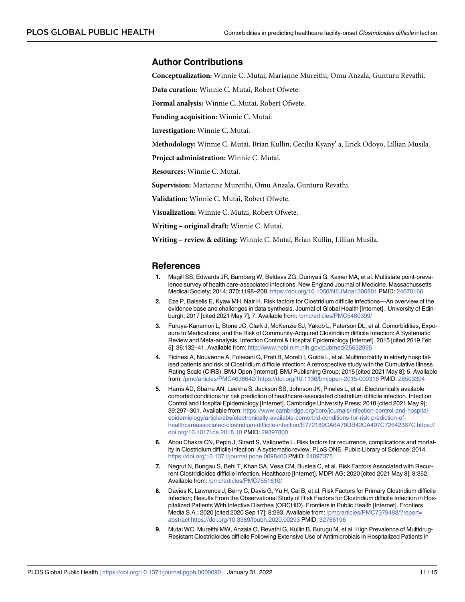#### <span id="page-10-0"></span>**Author Contributions**

**Conceptualization:** Winnie C. Mutai, Marianne Mureithi, Omu Anzala, Gunturu Revathi.

**Data curation:** Winnie C. Mutai, Robert Ofwete.

**Formal analysis:** Winnie C. Mutai, Robert Ofwete.

**Funding acquisition:** Winnie C. Mutai.

**Investigation:** Winnie C. Mutai.

**Methodology:** Winnie C. Mutai, Brian Kullin, Cecilia Kyany' a, Erick Odoyo, Lillian Musila.

**Project administration:** Winnie C. Mutai.

**Resources:** Winnie C. Mutai.

**Supervision:** Marianne Mureithi, Omu Anzala, Gunturu Revathi.

**Validation:** Winnie C. Mutai, Robert Ofwete.

**Visualization:** Winnie C. Mutai, Robert Ofwete.

**Writing – original draft:** Winnie C. Mutai.

**Writing – review & editing:** Winnie C. Mutai, Brian Kullin, Lillian Musila.

#### **References**

- **[1](#page-1-0).** Magill SS, Edwards JR, Bamberg W, Beldavs ZG, Dumyati G, Kainer MA, et al. Multistate point-prevalence survey of health care-associated infections. New England Journal of Medicine. Massachussetts Medical Society; 2014; 370:1198–208. <https://doi.org/10.1056/NEJMoa1306801> PMID: [24670166](http://www.ncbi.nlm.nih.gov/pubmed/24670166)
- **[2](#page-1-0).** Eze P, Balsells E, Kyaw MH, Nair H. Risk factors for Clostridium difficile infections—An overview of the evidence base and challenges in data synthesis. Journal of Global Health [Internet]. University of Edin-burgh; 2017 [cited 2021 May 7]; 7. Available from: [/pmc/articles/PMC5460399/](http://pmc/articles/PMC5460399/)
- **[3](#page-1-0).** Furuya-Kanamori L, Stone JC, Clark J, McKenzie SJ, Yakob L, Paterson DL, et al. Comorbidities, Exposure to Medications, and the Risk of Community-Acquired Clostridium difficile Infection: A Systematic Review and Meta-analysis. Infection Control & Hospital Epidemiology [Internet]. 2015 [cited 2019 Feb 5]; 36:132–41. Available from: <http://www.ncbi.nlm.nih.gov/pubmed/25632995>
- **4.** Ticinesi A, Nouvenne A, Folesani G, Prati B, Morelli I, Guida L, et al. Multimorbidity in elderly hospitalised patients and risk of Clostridium difficile infection: A retrospective study with the Cumulative Illness Rating Scale (CIRS). BMJ Open [Internet]. BMJ Publishing Group; 2015 [cited 2021 May 8]; 5. Available from: [/pmc/articles/PMC4636642/](http:///pmc/articles/PMC4636642/) <https://doi.org/10.1136/bmjopen-2015-009316> PMID: [26503394](http://www.ncbi.nlm.nih.gov/pubmed/26503394)
- **[5](#page-7-0).** Harris AD, Sbarra AN, Leekha S, Jackson SS, Johnson JK, Pineles L, et al. Electronically available comorbid conditions for risk prediction of healthcare-associated clostridium difficile infection. Infection Control and Hospital Epidemiology [Internet]. Cambridge University Press; 2018 [cited 2021 May 9]; 39:297–301. Available from: [https://www.cambridge.org/core/journals/infection-control-and-hospital](https://www.cambridge.org/core/journals/infection-control-and-hospital-epidemiology/article/abs/electronically-available-comorbid-conditions-for-risk-prediction-of-healthcareassociated-clostridium-difficile-infection/E772189CA6A79DB42CA497C72642367C)[epidemiology/article/abs/electronically-available-comorbid-conditions-for-risk-prediction-of](https://www.cambridge.org/core/journals/infection-control-and-hospital-epidemiology/article/abs/electronically-available-comorbid-conditions-for-risk-prediction-of-healthcareassociated-clostridium-difficile-infection/E772189CA6A79DB42CA497C72642367C)[healthcareassociated-clostridium-difficile-infection/E772189CA6A79DB42CA497C72642367C](https://www.cambridge.org/core/journals/infection-control-and-hospital-epidemiology/article/abs/electronically-available-comorbid-conditions-for-risk-prediction-of-healthcareassociated-clostridium-difficile-infection/E772189CA6A79DB42CA497C72642367C) [https://](https://doi.org/10.1017/ice.2018.10) [doi.org/10.1017/ice.2018.10](https://doi.org/10.1017/ice.2018.10) PMID: [29397800](http://www.ncbi.nlm.nih.gov/pubmed/29397800)
- **[6](#page-1-0).** Abou Chakra CN, Pepin J, Sirard S, Valiquette L. Risk factors for recurrence, complications and mortality in Clostridium difficile infection: A systematic review. PLoS ONE. Public Library of Science; 2014. <https://doi.org/10.1371/journal.pone.0098400> PMID: [24897375](http://www.ncbi.nlm.nih.gov/pubmed/24897375)
- **[7](#page-1-0).** Negrut N, Bungau S, Behl T, Khan SA, Vesa CM, Bustea C, et al. Risk Factors Associated with Recurrent Clostridioides difficile Infection. Healthcare [Internet]. MDPI AG; 2020 [cited 2021 May 8]; 8:352. Available from: [/pmc/articles/PMC7551610/](http://pmc/articles/PMC7551610/)
- **[8](#page-1-0).** Davies K, Lawrence J, Berry C, Davis G, Yu H, Cai B, et al. Risk Factors for Primary Clostridium difficile Infection; Results From the Observational Study of Risk Factors for Clostridium difficile Infection in Hospitalized Patients With Infective Diarrhea (ORCHID). Frontiers in Public Health [Internet]. Frontiers Media S.A.; 2020 [cited 2020 Sep 17]; 8:293. Available from: [/pmc/articles/PMC7379483/?report=](http://pmc/articles/PMC7379483/?report=abstract) [abstract](http://pmc/articles/PMC7379483/?report=abstract) <https://doi.org/10.3389/fpubh.2020.00293> PMID: [32766196](http://www.ncbi.nlm.nih.gov/pubmed/32766196)
- **[9](#page-2-0).** Mutai WC, Mureithi MW, Anzala O, Revathi G, Kullin B, Burugu M, et al. High Prevalence of Multidrug-Resistant Clostridioides difficile Following Extensive Use of Antimicrobials in Hospitalized Patients in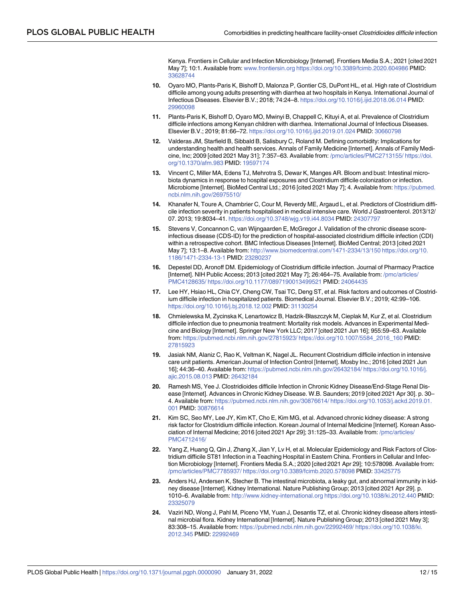Kenya. Frontiers in Cellular and Infection Microbiology [Internet]. Frontiers Media S.A.; 2021 [cited 2021 May 7]; 10:1. Available from: [www.frontiersin.org](http://www.frontiersin.org) <https://doi.org/10.3389/fcimb.2020.604986> PMID: [33628744](http://www.ncbi.nlm.nih.gov/pubmed/33628744)

- <span id="page-11-0"></span>**10.** Oyaro MO, Plants-Paris K, Bishoff D, Malonza P, Gontier CS, DuPont HL, et al. High rate of Clostridium difficile among young adults presenting with diarrhea at two hospitals in Kenya. International Journal of Infectious Diseases. Elsevier B.V.; 2018; 74:24–8. <https://doi.org/10.1016/j.ijid.2018.06.014> PMID: [29960098](http://www.ncbi.nlm.nih.gov/pubmed/29960098)
- **[11](#page-2-0).** Plants-Paris K, Bishoff D, Oyaro MO, Mwinyi B, Chappell C, Kituyi A, et al. Prevalence of Clostridium difficile infections among Kenyan children with diarrhea. International Journal of Infectious Diseases. Elsevier B.V.; 2019; 81:66–72. <https://doi.org/10.1016/j.ijid.2019.01.024> PMID: [30660798](http://www.ncbi.nlm.nih.gov/pubmed/30660798)
- **[12](#page-2-0).** Valderas JM, Starfield B, Sibbald B, Salisbury C, Roland M. Defining comorbidity: Implications for understanding health and health services. Annals of Family Medicine [Internet]. Annals of Family Medicine, Inc; 2009 [cited 2021 May 31]; 7:357–63. Available from: [/pmc/articles/PMC2713155/](http://pmc/articles/PMC2713155/) [https://doi.](https://doi.org/10.1370/afm.983) [org/10.1370/afm.983](https://doi.org/10.1370/afm.983) PMID: [19597174](http://www.ncbi.nlm.nih.gov/pubmed/19597174)
- **[13](#page-7-0).** Vincent C, Miller MA, Edens TJ, Mehrotra S, Dewar K, Manges AR. Bloom and bust: Intestinal microbiota dynamics in response to hospital exposures and Clostridium difficile colonization or infection. Microbiome [Internet]. BioMed Central Ltd.; 2016 [cited 2021 May 7]; 4. Available from: [https://pubmed.](https://pubmed.ncbi.nlm.nih.gov/26975510/) [ncbi.nlm.nih.gov/26975510/](https://pubmed.ncbi.nlm.nih.gov/26975510/)
- **[14](#page-7-0).** Khanafer N, Toure A, Chambrier C, Cour M, Reverdy ME, Argaud L, et al. Predictors of Clostridium difficile infection severity in patients hospitalised in medical intensive care. World J Gastroenterol. 2013/12/ 07. 2013; 19:8034–41. <https://doi.org/10.3748/wjg.v19.i44.8034> PMID: [24307797](http://www.ncbi.nlm.nih.gov/pubmed/24307797)
- **[15](#page-7-0).** Stevens V, Concannon C, van Wijngaarden E, McGregor J. Validation of the chronic disease scoreinfectious disease (CDS-ID) for the prediction of hospital-associated clostridium difficile infection (CDI) within a retrospective cohort. BMC Infectious Diseases [Internet]. BioMed Central; 2013 [cited 2021 May 7]; 13:1–8. Available from: <http://www.biomedcentral.com/1471-2334/13/150> [https://doi.org/10.](https://doi.org/10.1186/1471-2334-13-1) [1186/1471-2334-13-1](https://doi.org/10.1186/1471-2334-13-1) PMID: [23280237](http://www.ncbi.nlm.nih.gov/pubmed/23280237)
- **16.** Depestel DD, Aronoff DM. Epidemiology of Clostridium difficile infection. Journal of Pharmacy Practice [Internet]. NIH Public Access; 2013 [cited 2021 May 7]; 26:464–75. Available from: [/pmc/articles/](http://pmc/articles/PMC4128635/) [PMC4128635/](http://pmc/articles/PMC4128635/) <https://doi.org/10.1177/0897190013499521> PMID: [24064435](http://www.ncbi.nlm.nih.gov/pubmed/24064435)
- **[17](#page-9-0).** Lee HY, Hsiao HL, Chia CY, Cheng CW, Tsai TC, Deng ST, et al. Risk factors and outcomes of Clostridium difficile infection in hospitalized patients. Biomedical Journal. Elsevier B.V.; 2019; 42:99–106. <https://doi.org/10.1016/j.bj.2018.12.002> PMID: [31130254](http://www.ncbi.nlm.nih.gov/pubmed/31130254)
- **[18](#page-7-0).** Chmielewska M, Zycinska K, Lenartowicz B, Hadzik-Błaszczyk M, Cieplak M, Kur Z, et al. Clostridium difficile infection due to pneumonia treatment: Mortality risk models. Advances in Experimental Medicine and Biology [Internet]. Springer New York LLC; 2017 [cited 2021 Jun 16]; 955:59–63. Available from: <https://pubmed.ncbi.nlm.nih.gov/27815923/> [https://doi.org/10.1007/5584\\_2016\\_160](https://doi.org/10.1007/5584%5F2016%5F160) PMID: [27815923](http://www.ncbi.nlm.nih.gov/pubmed/27815923)
- **[19](#page-7-0).** Jasiak NM, Alaniz C, Rao K, Veltman K, Nagel JL. Recurrent Clostridium difficile infection in intensive care unit patients. American Journal of Infection Control [Internet]. Mosby Inc.; 2016 [cited 2021 Jun 16]; 44:36–40. Available from: <https://pubmed.ncbi.nlm.nih.gov/26432184/> [https://doi.org/10.1016/j.](https://doi.org/10.1016/j.ajic.2015.08.013) [ajic.2015.08.013](https://doi.org/10.1016/j.ajic.2015.08.013) PMID: [26432184](http://www.ncbi.nlm.nih.gov/pubmed/26432184)
- **[20](#page-7-0).** Ramesh MS, Yee J. Clostridioides difficile Infection in Chronic Kidney Disease/End-Stage Renal Disease [Internet]. Advances in Chronic Kidney Disease. W.B. Saunders; 2019 [cited 2021 Apr 30]. p. 30– 4. Available from: <https://pubmed.ncbi.nlm.nih.gov/30876614/> [https://doi.org/10.1053/j.ackd.2019.01.](https://doi.org/10.1053/j.ackd.2019.01.001) [001](https://doi.org/10.1053/j.ackd.2019.01.001) PMID: [30876614](http://www.ncbi.nlm.nih.gov/pubmed/30876614)
- **[21](#page-7-0).** Kim SC, Seo MY, Lee JY, Kim KT, Cho E, Kim MG, et al. Advanced chronic kidney disease: A strong risk factor for Clostridium difficile infection. Korean Journal of Internal Medicine [Internet]. Korean Association of Internal Medicine; 2016 [cited 2021 Apr 29]; 31:125–33. Available from: [/pmc/articles/](http://pmc/articles/PMC4712416/) [PMC4712416/](http://pmc/articles/PMC4712416/)
- **[22](#page-7-0).** Yang Z, Huang Q, Qin J, Zhang X, Jian Y, Lv H, et al. Molecular Epidemiology and Risk Factors of Clostridium difficile ST81 Infection in a Teaching Hospital in Eastern China. Frontiers in Cellular and Infection Microbiology [Internet]. Frontiers Media S.A.; 2020 [cited 2021 Apr 29]; 10:578098. Available from: [/pmc/articles/PMC7785937/](http://pmc/articles/PMC7785937/) <https://doi.org/10.3389/fcimb.2020.578098> PMID: [33425775](http://www.ncbi.nlm.nih.gov/pubmed/33425775)
- **[23](#page-8-0).** Anders HJ, Andersen K, Stecher B. The intestinal microbiota, a leaky gut, and abnormal immunity in kidney disease [Internet]. Kidney International. Nature Publishing Group; 2013 [cited 2021 Apr 29]. p. 1010–6. Available from: <http://www.kidney-international.org> <https://doi.org/10.1038/ki.2012.440> PMID: [23325079](http://www.ncbi.nlm.nih.gov/pubmed/23325079)
- **24.** Vaziri ND, Wong J, Pahl M, Piceno YM, Yuan J, Desantis TZ, et al. Chronic kidney disease alters intestinal microbial flora. Kidney International [Internet]. Nature Publishing Group; 2013 [cited 2021 May 3]; 83:308–15. Available from: <https://pubmed.ncbi.nlm.nih.gov/22992469/> [https://doi.org/10.1038/ki.](https://doi.org/10.1038/ki.2012.345) [2012.345](https://doi.org/10.1038/ki.2012.345) PMID: [22992469](http://www.ncbi.nlm.nih.gov/pubmed/22992469)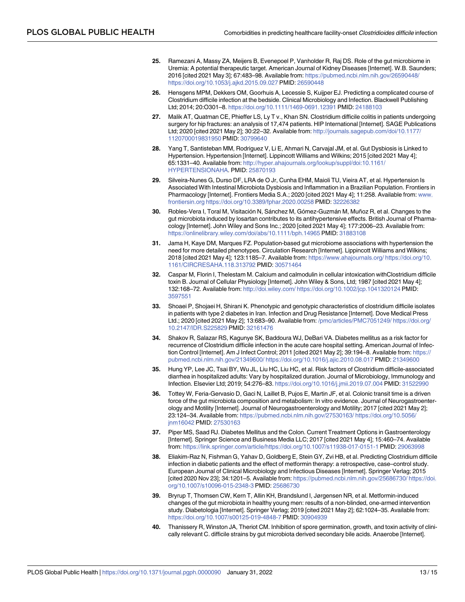- <span id="page-12-0"></span>**[25](#page-8-0).** Ramezani A, Massy ZA, Meijers B, Evenepoel P, Vanholder R, Raj DS. Role of the gut microbiome in Uremia: A potential therapeutic target. American Journal of Kidney Diseases [Internet]. W.B. Saunders; 2016 [cited 2021 May 3]; 67:483–98. Available from: <https://pubmed.ncbi.nlm.nih.gov/26590448/> <https://doi.org/10.1053/j.ajkd.2015.09.027> PMID: [26590448](http://www.ncbi.nlm.nih.gov/pubmed/26590448)
- **[26](#page-8-0).** Hensgens MPM, Dekkers OM, Goorhuis A, Lecessie S, Kuijper EJ. Predicting a complicated course of Clostridium difficile infection at the bedside. Clinical Microbiology and Infection. Blackwell Publishing Ltd; 2014; 20:O301–8. <https://doi.org/10.1111/1469-0691.12391> PMID: [24188103](http://www.ncbi.nlm.nih.gov/pubmed/24188103)
- **[27](#page-8-0).** Malik AT, Quatman CE, Phieffer LS, Ly T v., Khan SN. Clostridium difficile colitis in patients undergoing surgery for hip fractures: an analysis of 17,474 patients. HIP International [Internet]. SAGE Publications Ltd; 2020 [cited 2021 May 2]; 30:22–32. Available from: [http://journals.sagepub.com/doi/10.1177/](http://journals.sagepub.com/doi/10.1177/1120700019831950) [1120700019831950](http://journals.sagepub.com/doi/10.1177/1120700019831950) PMID: [30799640](http://www.ncbi.nlm.nih.gov/pubmed/30799640)
- **[28](#page-8-0).** Yang T, Santisteban MM, Rodriguez V, Li E, Ahmari N, Carvajal JM, et al. Gut Dysbiosis is Linked to Hypertension. Hypertension [Internet]. Lippincott Williams and Wilkins; 2015 [cited 2021 May 4]; 65:1331–40. Available from: [http://hyper.ahajournals.org/lookup/suppl/doi:10.1161/](http://hyper.ahajournals.org/lookup/suppl/doi:10.1161/HYPERTENSIONAHA) [HYPERTENSIONAHA](http://hyper.ahajournals.org/lookup/suppl/doi:10.1161/HYPERTENSIONAHA). PMID: [25870193](http://www.ncbi.nlm.nih.gov/pubmed/25870193)
- **[29](#page-8-0).** Silveira-Nunes G, Durso DF, LRA de O Jr, Cunha EHM, Maioli TU, Vieira AT, et al. Hypertension Is Associated With Intestinal Microbiota Dysbiosis and Inflammation in a Brazilian Population. Frontiers in Pharmacology [Internet]. Frontiers Media S.A.; 2020 [cited 2021 May 4]; 11:258. Available from: [www.](http://www.frontiersin.org) [frontiersin.org](http://www.frontiersin.org) <https://doi.org/10.3389/fphar.2020.00258> PMID: [32226382](http://www.ncbi.nlm.nih.gov/pubmed/32226382)
- **[30](#page-8-0).** Robles-Vera I, Toral M, Visitación N, Sánchez M, Gómez-Guzmán M, Muñoz R, et al. Changes to the gut microbiota induced by losartan contributes to its antihypertensive effects. British Journal of Pharmacology [Internet]. John Wiley and Sons Inc.; 2020 [cited 2021 May 4]; 177:2006–23. Available from: <https://onlinelibrary.wiley.com/doi/abs/10.1111/bph.14965> PMID: [31883108](http://www.ncbi.nlm.nih.gov/pubmed/31883108)
- **[31](#page-8-0).** Jama H, Kaye DM, Marques FZ. Population-based gut microbiome associations with hypertension the need for more detailed phenotypes. Circulation Research [Internet]. Lippincott Williams and Wilkins; 2018 [cited 2021 May 4]; 123:1185–7. Available from: <https://www.ahajournals.org/> [https://doi.org/10.](https://doi.org/10.1161/CIRCRESAHA.118.313792) [1161/CIRCRESAHA.118.313792](https://doi.org/10.1161/CIRCRESAHA.118.313792) PMID: [30571464](http://www.ncbi.nlm.nih.gov/pubmed/30571464)
- **[32](#page-8-0).** Caspar M, Florin I, Thelestam M. Calcium and calmodulin in cellular intoxication withClostridium difficile toxin B. Journal of Cellular Physiology [Internet]. John Wiley & Sons, Ltd; 1987 [cited 2021 May 4]; 132:168–72. Available from: <http://doi.wiley.com/> <https://doi.org/10.1002/jcp.1041320124> PMID: [3597551](http://www.ncbi.nlm.nih.gov/pubmed/3597551)
- **[33](#page-8-0).** Shoaei P, Shojaei H, Shirani K. Phenotypic and genotypic characteristics of clostridium difficile isolates in patients with type 2 diabetes in Iran. Infection and Drug Resistance [Internet]. Dove Medical Press Ltd.; 2020 [cited 2021 May 2]; 13:683–90. Available from: [/pmc/articles/PMC7051249/](http://pmc/articles/PMC7051249/) [https://doi.org/](https://doi.org/10.2147/IDR.S225829) [10.2147/IDR.S225829](https://doi.org/10.2147/IDR.S225829) PMID: [32161476](http://www.ncbi.nlm.nih.gov/pubmed/32161476)
- **34.** Shakov R, Salazar RS, Kagunye SK, Baddoura WJ, DeBari VA. Diabetes mellitus as a risk factor for recurrence of Clostridium difficile infection in the acute care hospital setting. American Journal of Infection Control [Internet]. Am J Infect Control; 2011 [cited 2021 May 2]; 39:194–8. Available from: [https://](https://pubmed.ncbi.nlm.nih.gov/21349600/) [pubmed.ncbi.nlm.nih.gov/21349600/](https://pubmed.ncbi.nlm.nih.gov/21349600/) <https://doi.org/10.1016/j.ajic.2010.08.017> PMID: [21349600](http://www.ncbi.nlm.nih.gov/pubmed/21349600)
- **[35](#page-8-0).** Hung YP, Lee JC, Tsai BY, Wu JL, Liu HC, Liu HC, et al. Risk factors of Clostridium difficile-associated diarrhea in hospitalized adults: Vary by hospitalized duration. Journal of Microbiology, Immunology and Infection. Elsevier Ltd; 2019; 54:276–83. <https://doi.org/10.1016/j.jmii.2019.07.004> PMID: [31522990](http://www.ncbi.nlm.nih.gov/pubmed/31522990)
- **[36](#page-8-0).** Tottey W, Feria-Gervasio D, Gaci N, Laillet B, Pujos E, Martin JF, et al. Colonic transit time is a driven force of the gut microbiota composition and metabolism: In vitro evidence. Journal of Neurogastroenterology and Motility [Internet]. Journal of Neurogastroenterology and Motility; 2017 [cited 2021 May 2]; 23:124–34. Available from: <https://pubmed.ncbi.nlm.nih.gov/27530163/> [https://doi.org/10.5056/](https://doi.org/10.5056/jnm16042) [jnm16042](https://doi.org/10.5056/jnm16042) PMID: [27530163](http://www.ncbi.nlm.nih.gov/pubmed/27530163)
- **[37](#page-8-0).** Piper MS, Saad RJ. Diabetes Mellitus and the Colon. Current Treatment Options in Gastroenterology [Internet]. Springer Science and Business Media LLC; 2017 [cited 2021 May 4]; 15:460–74. Available from: <https://link.springer.com/article/><https://doi.org/10.1007/s11938-017-0151-1> PMID: [29063998](http://www.ncbi.nlm.nih.gov/pubmed/29063998)
- **[38](#page-8-0).** Eliakim-Raz N, Fishman G, Yahav D, Goldberg E, Stein GY, Zvi HB, et al. Predicting Clostridium difficile infection in diabetic patients and the effect of metformin therapy: a retrospective, case–control study. European Journal of Clinical Microbiology and Infectious Diseases [Internet]. Springer Verlag; 2015 [cited 2020 Nov 23]; 34:1201–5. Available from: <https://pubmed.ncbi.nlm.nih.gov/25686730/> [https://doi.](https://doi.org/10.1007/s10096-015-2348-3) [org/10.1007/s10096-015-2348-3](https://doi.org/10.1007/s10096-015-2348-3) PMID: [25686730](http://www.ncbi.nlm.nih.gov/pubmed/25686730)
- **[39](#page-8-0).** Bryrup T, Thomsen CW, Kern T, Allin KH, Brandslund I, Jørgensen NR, et al. Metformin-induced changes of the gut microbiota in healthy young men: results of a non-blinded, one-armed intervention study. Diabetologia [Internet]. Springer Verlag; 2019 [cited 2021 May 2]; 62:1024–35. Available from: <https://doi.org/10.1007/s00125-019-4848-7> PMID: [30904939](http://www.ncbi.nlm.nih.gov/pubmed/30904939)
- **[40](#page-8-0).** Thanissery R, Winston JA, Theriot CM. Inhibition of spore germination, growth, and toxin activity of clinically relevant C. difficile strains by gut microbiota derived secondary bile acids. Anaerobe [Internet].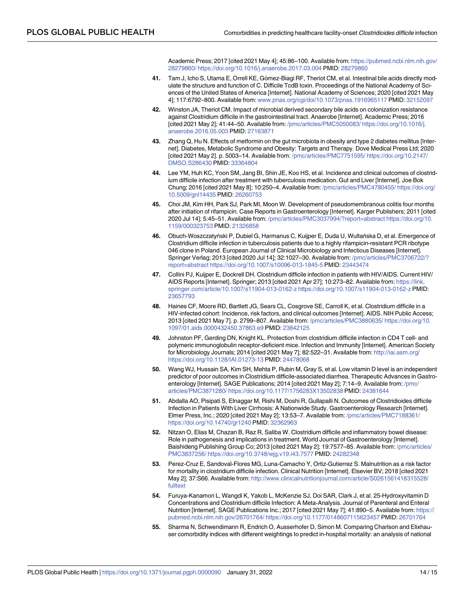Academic Press; 2017 [cited 2021 May 4]; 45:86–100. Available from: [https://pubmed.ncbi.nlm.nih.gov/](https://pubmed.ncbi.nlm.nih.gov/28279860/) [28279860/](https://pubmed.ncbi.nlm.nih.gov/28279860/) <https://doi.org/10.1016/j.anaerobe.2017.03.004> PMID: [28279860](http://www.ncbi.nlm.nih.gov/pubmed/28279860)

- <span id="page-13-0"></span>**41.** Tam J, Icho S, Utama E, Orrell KE, Gómez-Biagi RF, Theriot CM, et al. Intestinal bile acids directly modulate the structure and function of C. Difficile TcdB toxin. Proceedings of the National Academy of Sciences of the United States of America [Internet]. National Academy of Sciences; 2020 [cited 2021 May 4]; 117:6792–800. Available from: [www.pnas.org/cgi/doi/10.1073/pnas.1916965117](http://www.pnas.org/cgi/doi/10.1073/pnas.1916965117) PMID: [32152097](http://www.ncbi.nlm.nih.gov/pubmed/32152097)
- **[42](#page-8-0).** Winston JA, Theriot CM. Impact of microbial derived secondary bile acids on colonization resistance against Clostridium difficile in the gastrointestinal tract. Anaerobe [Internet]. Academic Press; 2016 [cited 2021 May 2]; 41:44–50. Available from: [/pmc/articles/PMC5050083/](http://pmc/articles/PMC5050083/) [https://doi.org/10.1016/j.](https://doi.org/10.1016/j.anaerobe.2016.05.003) [anaerobe.2016.05.003](https://doi.org/10.1016/j.anaerobe.2016.05.003) PMID: [27163871](http://www.ncbi.nlm.nih.gov/pubmed/27163871)
- **[43](#page-8-0).** Zhang Q, Hu N. Effects of metformin on the gut microbiota in obesity and type 2 diabetes mellitus [Internet]. Diabetes, Metabolic Syndrome and Obesity: Targets and Therapy. Dove Medical Press Ltd; 2020 [cited 2021 May 2]. p. 5003–14. Available from: [/pmc/articles/PMC7751595/](http://pmc/articles/PMC7751595/) [https://doi.org/10.2147/](https://doi.org/10.2147/DMSO.S286430) [DMSO.S286430](https://doi.org/10.2147/DMSO.S286430) PMID: [33364804](http://www.ncbi.nlm.nih.gov/pubmed/33364804)
- **[44](#page-8-0).** Lee YM, Huh KC, Yoon SM, Jang BI, Shin JE, Koo HS, et al. Incidence and clinical outcomes of clostridium difficile infection after treatment with tuberculosis medication. Gut and Liver [Internet]. Joe Bok Chung; 2016 [cited 2021 May 8]; 10:250–4. Available from: [/pmc/articles/PMC4780455/](http://pmc/articles/PMC4780455/) [https://doi.org/](https://doi.org/10.5009/gnl14435) [10.5009/gnl14435](https://doi.org/10.5009/gnl14435) PMID: [26260753](http://www.ncbi.nlm.nih.gov/pubmed/26260753)
- **[45](#page-8-0).** Choi JM, Kim HH, Park SJ, Park MI, Moon W. Development of pseudomembranous colitis four months after initiation of rifampicin. Case Reports in Gastroenterology [Internet]. Karger Publishers; 2011 [cited 2020 Jul 14]; 5:45–51. Available from: [/pmc/articles/PMC3037994/?report=abstract](http://pmc/articles/PMC3037994/?report=abstract) [https://doi.org/10.](https://doi.org/10.1159/000323753) [1159/000323753](https://doi.org/10.1159/000323753) PMID: [21326858](http://www.ncbi.nlm.nih.gov/pubmed/21326858)
- **[46](#page-8-0).** Obuch-Woszczatyński P, Dubiel G, Harmanus C, Kuijper E, Duda U, Wultańska D, et al. Emergence of Clostridium difficile infection in tuberculosis patients due to a highly rifampicin-resistant PCR ribotype 046 clone in Poland. European Journal of Clinical Microbiology and Infectious Diseases [Internet]. Springer Verlag; 2013 [cited 2020 Jul 14]; 32:1027–30. Available from: [/pmc/articles/PMC3706722/?](http://pmc/articles/PMC3706722/?report=abstract) [report=abstract](http://pmc/articles/PMC3706722/?report=abstract) <https://doi.org/10.1007/s10096-013-1845-5> PMID: [23443474](http://www.ncbi.nlm.nih.gov/pubmed/23443474)
- **[47](#page-8-0).** Collini PJ, Kuijper E, Dockrell DH. Clostridium difficile infection in patients with HIV/AIDS. Current HIV/ AIDS Reports [Internet]. Springer; 2013 [cited 2021 Apr 27]; 10:273–82. Available from: [https://link.](https://link.springer.com/article/10.1007/s11904-013-0162-z) [springer.com/article/10.1007/s11904-013-0162-z](https://link.springer.com/article/10.1007/s11904-013-0162-z) <https://doi.org/10.1007/s11904-013-0162-z> PMID: [23657793](http://www.ncbi.nlm.nih.gov/pubmed/23657793)
- **[48](#page-8-0).** Haines CF, Moore RD, Bartlett JG, Sears CL, Cosgrove SE, Carroll K, et al. Clostridium difficile in a HIV-infected cohort: Incidence, risk factors, and clinical outcomes [Internet]. AIDS. NIH Public Access; 2013 [cited 2021 May 7]. p. 2799–807. Available from: [/pmc/articles/PMC3880635/](http://pmc/articles/PMC3880635/) [https://doi.org/10.](https://doi.org/10.1097/01.aids.0000432450.37863.e9) [1097/01.aids.0000432450.37863.e9](https://doi.org/10.1097/01.aids.0000432450.37863.e9) PMID: [23842125](http://www.ncbi.nlm.nih.gov/pubmed/23842125)
- **[49](#page-8-0).** Johnston PF, Gerding DN, Knight KL. Protection from clostridium difficile infection in CD4 T cell- and polymeric immunoglobulin receptor-deficient mice. Infection and Immunity [Internet]. American Society for Microbiology Journals; 2014 [cited 2021 May 7]; 82:522–31. Available from: <http://iai.asm.org/> <https://doi.org/10.1128/IAI.01273-13> PMID: [24478068](http://www.ncbi.nlm.nih.gov/pubmed/24478068)
- **[50](#page-9-0).** Wang WJ, Hussain SA, Kim SH, Mehta P, Rubin M, Gray S, et al. Low vitamin D level is an independent predictor of poor outcomes in Clostridium difficile-associated diarrhea. Therapeutic Advances in Gastro-enterology [Internet]. SAGE Publications; 2014 [cited 2021 May 2]; 7:14-9. Available from: [/pmc/](http://pmc/articles/PMC3871280/) [articles/PMC3871280/](http://pmc/articles/PMC3871280/) <https://doi.org/10.1177/1756283X13502838> PMID: [24381644](http://www.ncbi.nlm.nih.gov/pubmed/24381644)
- **51.** Abdalla AO, Pisipati S, Elnaggar M, Rishi M, Doshi R, Gullapalli N. Outcomes of Clostridioides difficile Infection in Patients With Liver Cirrhosis: A Nationwide Study. Gastroenterology Research [Internet]. Elmer Press, Inc.; 2020 [cited 2021 May 2]; 13:53–7. Available from: [/pmc/articles/PMC7188361/](http://pmc/articles/PMC7188361/) <https://doi.org/10.14740/gr1240> PMID: [32362963](http://www.ncbi.nlm.nih.gov/pubmed/32362963)
- **52.** Nitzan O, Elias M, Chazan B, Raz R, Saliba W. Clostridium difficile and inflammatory bowel disease: Role in pathogenesis and implications in treatment. World Journal of Gastroenterology [Internet]. Baishideng Publishing Group Co; 2013 [cited 2021 May 2]; 19:7577-85. Available from: [/pmc/articles/](http://pmc/articles/PMC3837256/) [PMC3837256/](http://pmc/articles/PMC3837256/) <https://doi.org/10.3748/wjg.v19.i43.7577> PMID: [24282348](http://www.ncbi.nlm.nih.gov/pubmed/24282348)
- **53.** Perez-Cruz E, Sandoval-Flores MG, Luna-Camacho Y, Ortiz-Gutierrez S. Malnutrition as a risk factor for mortality in clostridium difficile infection. Clinical Nutrition [Internet]. Elsevier BV; 2018 [cited 2021 May 2]; 37:S66. Available from: [http://www.clinicalnutritionjournal.com/article/S0261561418315528/](http://www.clinicalnutritionjournal.com/article/S0261561418315528/fulltext) [fulltext](http://www.clinicalnutritionjournal.com/article/S0261561418315528/fulltext)
- **[54](#page-9-0).** Furuya-Kanamori L, Wangdi K, Yakob L, McKenzie SJ, Doi SAR, Clark J, et al. 25-Hydroxyvitamin D Concentrations and Clostridium difficile Infection: A Meta-Analysis. Journal of Parenteral and Enteral Nutrition [Internet]. SAGE Publications Inc.; 2017 [cited 2021 May 7]; 41:890–5. Available from: [https://](https://pubmed.ncbi.nlm.nih.gov/26701764/) [pubmed.ncbi.nlm.nih.gov/26701764/](https://pubmed.ncbi.nlm.nih.gov/26701764/) <https://doi.org/10.1177/0148607115623457> PMID: [26701764](http://www.ncbi.nlm.nih.gov/pubmed/26701764)
- **[55](#page-9-0).** Sharma N, Schwendimann R, Endrich O, Ausserhofer D, Simon M. Comparing Charlson and Elixhauser comorbidity indices with different weightings to predict in-hospital mortality: an analysis of national